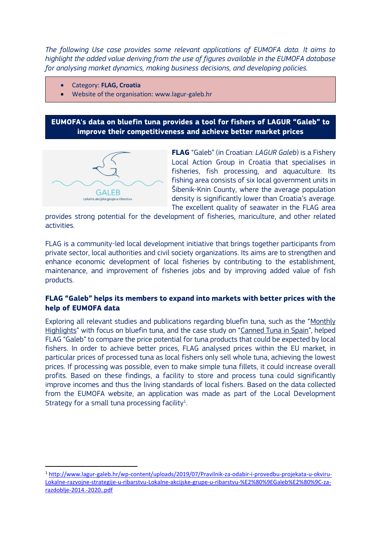*The following Use case provides some relevant applications of EUMOFA data. It aims to highlight the added value deriving from the use of figures available in the EUMOFA database for analysing market dynamics, making business decisions, and developing policies.*

- Category: **FLAG, Croatia**
- Website of the organisation: www.lagur-galeb.hr

**EUMOFA's data on bluefin tuna provides a tool for fishers of LAGUR "Galeb" to improve their competitiveness and achieve better market prices**



**FLAG** "Galeb" (in Croatian: *LAGUR Galeb*) is a Fishery Local Action Group in Croatia that specialises in fisheries, fish processing, and aquaculture. Its fishing area consists of six local government units in Šibenik-Knin County, where the average population density is significantly lower than Croatia's average. The excellent quality of seawater in the FLAG area

provides strong potential for the development of fisheries, mariculture, and other related activities.

FLAG is a community-led local development initiative that brings together participants from private sector, local authorities and civil society organizations. Its aims are to strengthen and enhance economic development of local fisheries by contributing to the establishment, maintenance, and improvement of fisheries jobs and by improving added value of fish products.

## **FLAG "Galeb" helps its members to expand into markets with better prices with the help of EUMOFA data**

Exploring all relevant studies and publications regarding bluefin tuna, such as the "[Monthly](https://www.eumofa.eu/market-analysis#monthly)  [Highlights](https://www.eumofa.eu/market-analysis#monthly)" with focus on bluefin tuna, and the case study on "[Canned Tuna in Spain](https://eumofa.eu/documents/20178/103086/Price+structure+-+canned+tuna+in+Spain.pdf)", helped FLAG "Galeb" to compare the price potential for tuna products that could be expected by local fishers. In order to achieve better prices, FLAG analysed prices within the EU market, in particular prices of processed tuna as local fishers only sell whole tuna, achieving the lowest prices. If processing was possible, even to make simple tuna fillets, it could increase overall profits. Based on these findings, a facility to store and process tuna could significantly improve incomes and thus the living standards of local fishers. Based on the data collected from the EUMOFA website, an application was made as part of the Local Development Strategy for a small tuna processing facility<sup>1</sup>. .

<sup>1</sup> [http://www.lagur-galeb.hr/wp-content/uploads/2019/07/Pravilnik-za-odabir-i-provedbu-projekata-u-okviru-](http://www.lagur-galeb.hr/wp-content/uploads/2019/07/Pravilnik-za-odabir-i-provedbu-projekata-u-okviru-Lokalne-razvojne-strategije-u-ribarstvu-Lokalne-akcijske-grupe-u-ribarstvu-%E2%80%9EGaleb%E2%80%9C-za-razdoblje-2014.-2020..pdf)[Lokalne-razvojne-strategije-u-ribarstvu-Lokalne-akcijske-grupe-u-ribarstvu-%E2%80%9EGaleb%E2%80%9C-za](http://www.lagur-galeb.hr/wp-content/uploads/2019/07/Pravilnik-za-odabir-i-provedbu-projekata-u-okviru-Lokalne-razvojne-strategije-u-ribarstvu-Lokalne-akcijske-grupe-u-ribarstvu-%E2%80%9EGaleb%E2%80%9C-za-razdoblje-2014.-2020..pdf)[razdoblje-2014.-2020..pdf](http://www.lagur-galeb.hr/wp-content/uploads/2019/07/Pravilnik-za-odabir-i-provedbu-projekata-u-okviru-Lokalne-razvojne-strategije-u-ribarstvu-Lokalne-akcijske-grupe-u-ribarstvu-%E2%80%9EGaleb%E2%80%9C-za-razdoblje-2014.-2020..pdf)